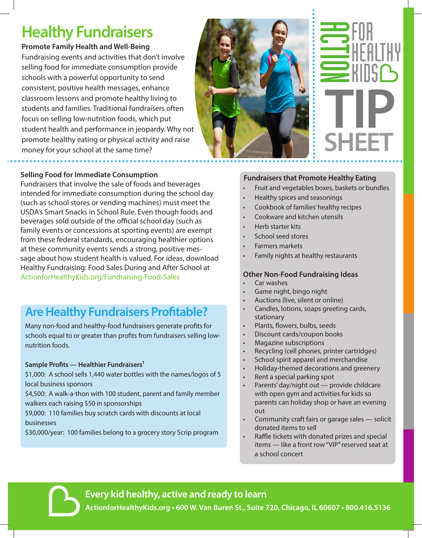## **Healthy Fundraisers**

#### **Promote Family Health and Well-Being**

Fundraising events and activities that don't involve selling food for immediate consumption provide schools with a powerful opportunity to send consistent, positive health messages, enhance classroom lessons and promote healthy living to students and families. Traditional fundraisers often focus on selling low-nutrition foods, which put student health and performance in jeopardy. Why not promote healthy eating or physical activity and raise money for your school at the same time?

#### **Selling Food for Immediate Consumption**

Fundraisers that involve the sale of foods and beverages intended for immediate consumption during the school day (such as school stores or vending machines) must meet the USDA's Smart Snacks in School Rule. Even though foods and beverages sold outside of the official school day (such as family events or concessions at sporting events) are exempt from these federal standards, encouraging healthier options at these community events sends a strong, positive message about how student health is valued. For ideas, download Healthy Fundraising: Food Sales During and After School at ActionforHealthyKids.org/Fundraising-Food-Sales

## **Are Healthy Fundraisers Profitable?**

Many non-food and healthy-food fundraisers generate profits for schools equal to or greater than profits from fundraisers selling lownutrition foods.

#### **Sample Profits — Healthier Fundraisers1**

\$1,000: A school sells 1,440 water bottles with the names/logos of 5 local business sponsors

\$4,500: A walk-a-thon with 100 student, parent and family member walkers each raising \$50 in sponsorships

\$9,000: 110 families buy scratch cards with discounts at local businesses

\$30,000/year: 100 families belong to a grocery story Scrip program



#### **Fundraisers that Promote Healthy Eating**

- Fruit and vegetables boxes, baskets or bundles
- Healthy spices and seasonings
- Cookbook of families' healthy recipes
- Cookware and kitchen utensils
- Herb starter kits
- School seed stores
- Farmers markets
- Family nights at healthy restaurants

#### **Other Non-Food Fundraising Ideas**

- Car washes
- Game night, bingo night
- Auctions (live, silent or online)
- Candles, lotions, soaps greeting cards, stationary
- Plants, flowers, bulbs, seeds
- Discount cards/coupon books
- Magazine subscriptions
- Recycling (cell phones, printer cartridges)
- School spirit apparel and merchandise
- Holiday-themed decorations and greenery
- Rent a special parking spot
- Parents' day/night out provide childcare with open gym and activities for kids so parents can holiday shop or have an evening out
- Community craft fairs or garage sales solicit donated items to sell
- Raffle tickets with donated prizes and special items — like a front row "VIP" reserved seat at a school concert

**Every kid healthy, active and ready to learn**

**ActionforHealthyKids.org • 600 W. Van Buren St., Suite 720, Chicago, IL 60607 • 800.416.5136**